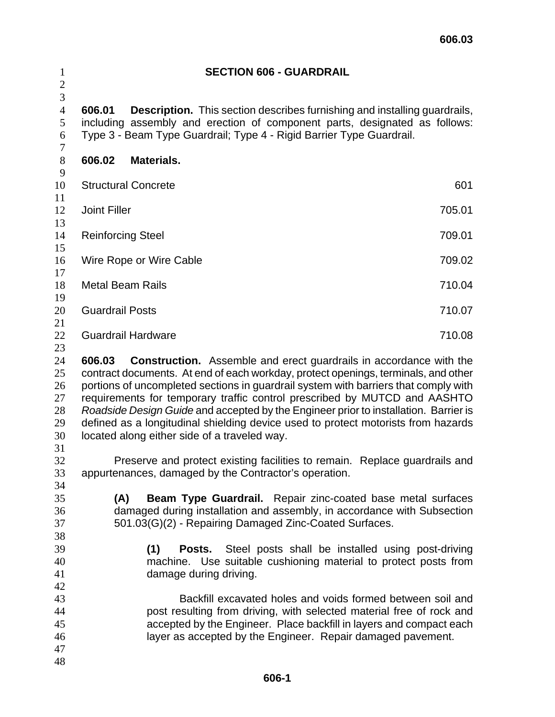| $\mathbf{1}$                                                                           | <b>SECTION 606 - GUARDRAIL</b>     |                                                                                                                                                                        |  |  |                                                                                                                                                                                                                                                                                                                                                                                                                                                                                                                                                                                                                                                                                                                                       |  |
|----------------------------------------------------------------------------------------|------------------------------------|------------------------------------------------------------------------------------------------------------------------------------------------------------------------|--|--|---------------------------------------------------------------------------------------------------------------------------------------------------------------------------------------------------------------------------------------------------------------------------------------------------------------------------------------------------------------------------------------------------------------------------------------------------------------------------------------------------------------------------------------------------------------------------------------------------------------------------------------------------------------------------------------------------------------------------------------|--|
| $\mathbf{2}$<br>3                                                                      |                                    |                                                                                                                                                                        |  |  |                                                                                                                                                                                                                                                                                                                                                                                                                                                                                                                                                                                                                                                                                                                                       |  |
| $\overline{4}$<br>5<br>6<br>$\tau$                                                     | 606.01                             | Type 3 - Beam Type Guardrail; Type 4 - Rigid Barrier Type Guardrail.                                                                                                   |  |  | <b>Description.</b> This section describes furnishing and installing guardrails,<br>including assembly and erection of component parts, designated as follows:                                                                                                                                                                                                                                                                                                                                                                                                                                                                                                                                                                        |  |
| $8\,$<br>9                                                                             | 606.02                             | Materials.                                                                                                                                                             |  |  |                                                                                                                                                                                                                                                                                                                                                                                                                                                                                                                                                                                                                                                                                                                                       |  |
| 10<br>11                                                                               |                                    | <b>Structural Concrete</b>                                                                                                                                             |  |  | 601                                                                                                                                                                                                                                                                                                                                                                                                                                                                                                                                                                                                                                                                                                                                   |  |
| 12<br>13                                                                               | <b>Joint Filler</b><br>705.01      |                                                                                                                                                                        |  |  |                                                                                                                                                                                                                                                                                                                                                                                                                                                                                                                                                                                                                                                                                                                                       |  |
| 14<br>15                                                                               | 709.01<br><b>Reinforcing Steel</b> |                                                                                                                                                                        |  |  |                                                                                                                                                                                                                                                                                                                                                                                                                                                                                                                                                                                                                                                                                                                                       |  |
| 16<br>17                                                                               | Wire Rope or Wire Cable<br>709.02  |                                                                                                                                                                        |  |  |                                                                                                                                                                                                                                                                                                                                                                                                                                                                                                                                                                                                                                                                                                                                       |  |
| 18<br>19                                                                               | <b>Metal Beam Rails</b>            |                                                                                                                                                                        |  |  | 710.04                                                                                                                                                                                                                                                                                                                                                                                                                                                                                                                                                                                                                                                                                                                                |  |
| 20<br>21                                                                               | <b>Guardrail Posts</b>             |                                                                                                                                                                        |  |  | 710.07                                                                                                                                                                                                                                                                                                                                                                                                                                                                                                                                                                                                                                                                                                                                |  |
| 22<br>23                                                                               |                                    | <b>Guardrail Hardware</b>                                                                                                                                              |  |  | 710.08                                                                                                                                                                                                                                                                                                                                                                                                                                                                                                                                                                                                                                                                                                                                |  |
| 25<br>26<br>27<br>28<br>29<br>30<br>31<br>32<br>33<br>34<br>35<br>36<br>37<br>38<br>39 | (A)                                | located along either side of a traveled way.<br>appurtenances, damaged by the Contractor's operation.<br>501.03(G)(2) - Repairing Damaged Zinc-Coated Surfaces.<br>(1) |  |  | contract documents. At end of each workday, protect openings, terminals, and other<br>portions of uncompleted sections in guardrail system with barriers that comply with<br>requirements for temporary traffic control prescribed by MUTCD and AASHTO<br>Roadside Design Guide and accepted by the Engineer prior to installation. Barrier is<br>defined as a longitudinal shielding device used to protect motorists from hazards<br>Preserve and protect existing facilities to remain. Replace guardrails and<br><b>Beam Type Guardrail.</b> Repair zinc-coated base metal surfaces<br>damaged during installation and assembly, in accordance with Subsection<br><b>Posts.</b> Steel posts shall be installed using post-driving |  |
| 40<br>41<br>42<br>43<br>44<br>45<br>46<br>47<br>48                                     |                                    | damage during driving.                                                                                                                                                 |  |  | machine. Use suitable cushioning material to protect posts from<br>Backfill excavated holes and voids formed between soil and<br>post resulting from driving, with selected material free of rock and<br>accepted by the Engineer. Place backfill in layers and compact each<br>layer as accepted by the Engineer. Repair damaged pavement.                                                                                                                                                                                                                                                                                                                                                                                           |  |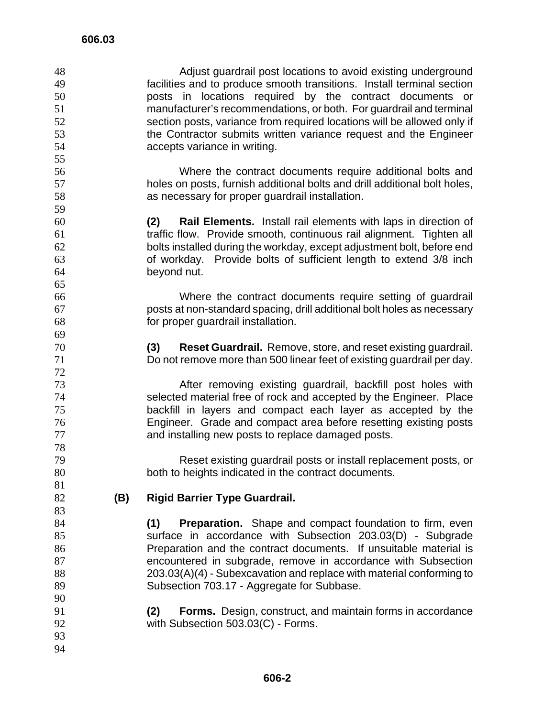| 48     |     | Adjust guardrail post locations to avoid existing underground                |
|--------|-----|------------------------------------------------------------------------------|
| 49     |     | facilities and to produce smooth transitions. Install terminal section       |
| 50     |     | posts in locations required by the contract documents or                     |
| 51     |     | manufacturer's recommendations, or both. For guardrail and terminal          |
| 52     |     | section posts, variance from required locations will be allowed only if      |
| 53     |     | the Contractor submits written variance request and the Engineer             |
| 54     |     | accepts variance in writing.                                                 |
| 55     |     |                                                                              |
| 56     |     | Where the contract documents require additional bolts and                    |
| 57     |     | holes on posts, furnish additional bolts and drill additional bolt holes,    |
| 58     |     | as necessary for proper guardrail installation.                              |
| 59     |     |                                                                              |
| 60     |     | <b>Rail Elements.</b> Install rail elements with laps in direction of<br>(2) |
| 61     |     | traffic flow. Provide smooth, continuous rail alignment. Tighten all         |
| 62     |     | bolts installed during the workday, except adjustment bolt, before end       |
| 63     |     | of workday. Provide bolts of sufficient length to extend 3/8 inch            |
| 64     |     | beyond nut.                                                                  |
| 65     |     |                                                                              |
| 66     |     | Where the contract documents require setting of guardrail                    |
| 67     |     | posts at non-standard spacing, drill additional bolt holes as necessary      |
| 68     |     | for proper guardrail installation.                                           |
| 69     |     |                                                                              |
| 70     |     | (3)<br><b>Reset Guardrail.</b> Remove, store, and reset existing guardrail.  |
| 71     |     | Do not remove more than 500 linear feet of existing guardrail per day.       |
| 72     |     |                                                                              |
| 73     |     | After removing existing guardrail, backfill post holes with                  |
| 74     |     | selected material free of rock and accepted by the Engineer. Place           |
| 75     |     | backfill in layers and compact each layer as accepted by the                 |
| 76     |     | Engineer. Grade and compact area before resetting existing posts             |
| 77     |     | and installing new posts to replace damaged posts.                           |
| 78     |     |                                                                              |
| 79     |     | Reset existing guardrail posts or install replacement posts, or              |
| $80\,$ |     | both to heights indicated in the contract documents.                         |
| 81     |     |                                                                              |
| 82     | (B) | <b>Rigid Barrier Type Guardrail.</b>                                         |
| 83     |     |                                                                              |
| 84     |     | <b>Preparation.</b> Shape and compact foundation to firm, even<br>(1)        |
| 85     |     | surface in accordance with Subsection 203.03(D) - Subgrade                   |
| 86     |     | Preparation and the contract documents. If unsuitable material is            |
| 87     |     | encountered in subgrade, remove in accordance with Subsection                |
| 88     |     | 203.03(A)(4) - Subexcavation and replace with material conforming to         |
| 89     |     |                                                                              |
| 90     |     | Subsection 703.17 - Aggregate for Subbase.                                   |
| 91     |     | (2)<br><b>Forms.</b> Design, construct, and maintain forms in accordance     |
| 92     |     | with Subsection 503.03(C) - Forms.                                           |
| 93     |     |                                                                              |
|        |     |                                                                              |
| 94     |     |                                                                              |